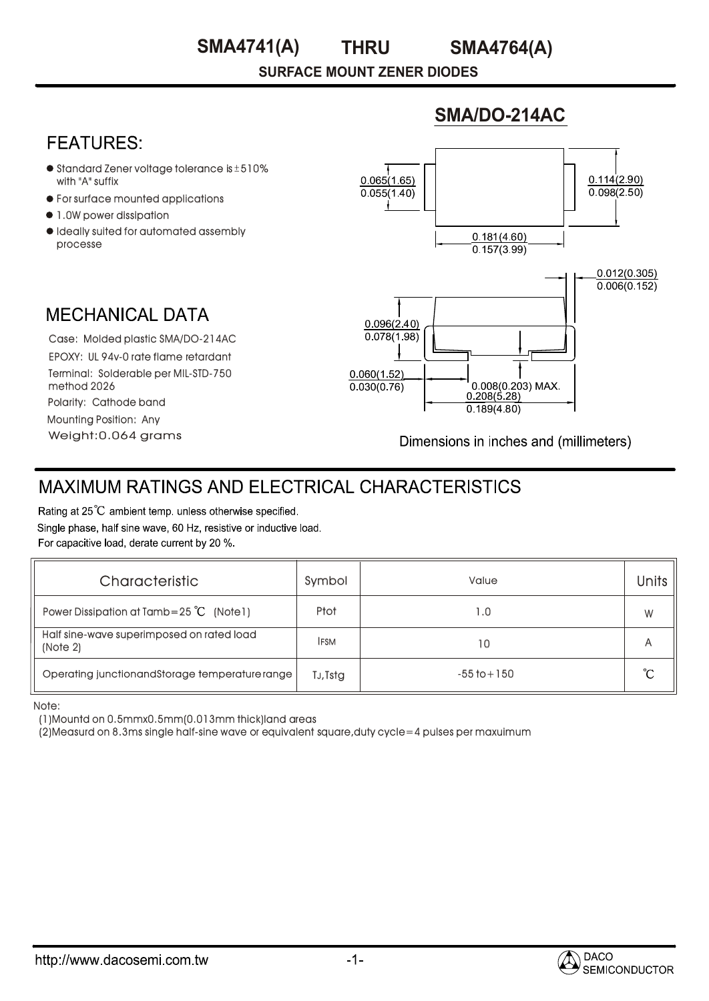### **THRU SMA4741(A) SMA4764(A)**

**SURFACE MOUNT ZENER DIODES**

## **SMA/DO-214AC**

## **FFATURFS:**

- $\bullet$  Standard Zener voltage tolerance is  $\pm$  510% with "A" suffix
- For surface mounted applications
- $\bullet$  1.0W power dissipation
- $\bullet$  Ideally suited for automated assembly processe



Weight:0.064 grams Case: Molded plastic SMA/DO-214AC I deally suited for automated assem<br>processe<br>MECHANICAL DATA<br>Case: Molded plastic SMA/DO-214A<br>EPOXY: UL 94v-0 rate flame retardant Terminal: Solderable per MIL-STD-750 method 2026 Polarity: Cathode band Mounting Position: Any

Dimensions in inches and (millimeters)

# **MAXIMUM RATINGS AND ELECTRICAL CHARACTERISTICS**

Rating at 25°C ambient temp. unless otherwise specified. Single phase, half sine wave, 60 Hz, resistive or inductive load. For capacitive load, derate current by 20 %.

| Characteristic                                        | Symbol      | Value           | Units |
|-------------------------------------------------------|-------------|-----------------|-------|
| Power Dissipation at Tamb=25 $^{\circ}$ C (Note 1)    | Ptot        | 1.0             | W     |
| Half sine-wave superimposed on rated load<br>(Note 2) | <b>IFSM</b> | 10              | А     |
| Operating junctionandStorage temperature range        | TJ, Tstg    | $-55$ to $+150$ | °C    |

Note:

(1)Mountd on 0.5mmx0.5mm(0.013mm thick)land areas

(2)Measurd on 8.3ms single half-sine wave or equivalent square,duty cycle=4 pulses per maxuimum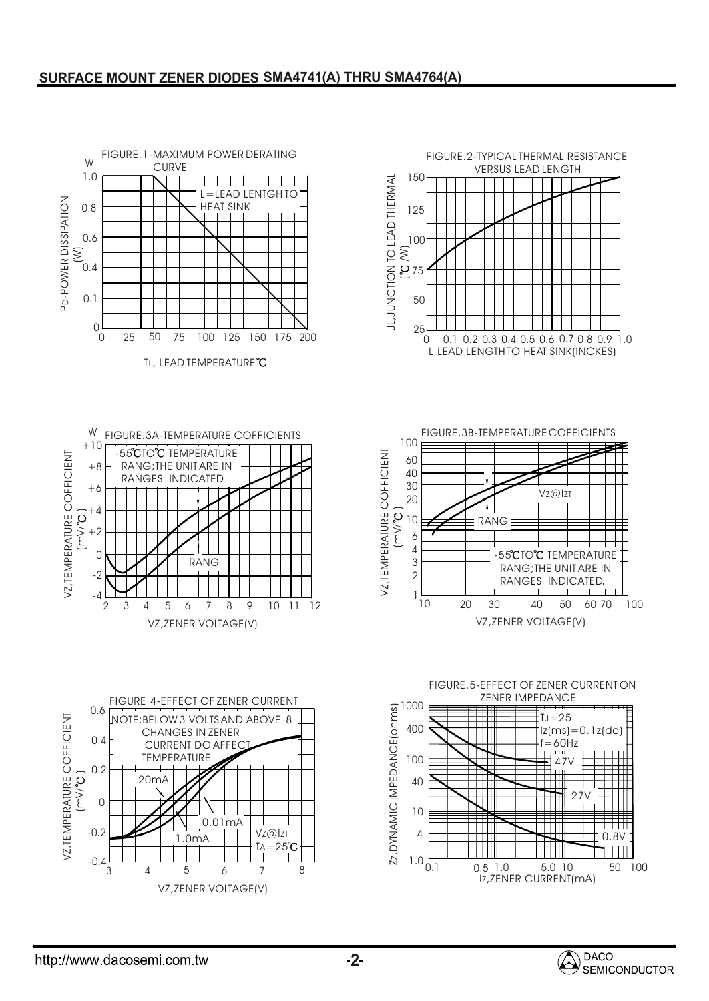### **SURFACE MOUNT ZENER DIODES SMA4741(A) THRU SMA4764(A)**



**2**